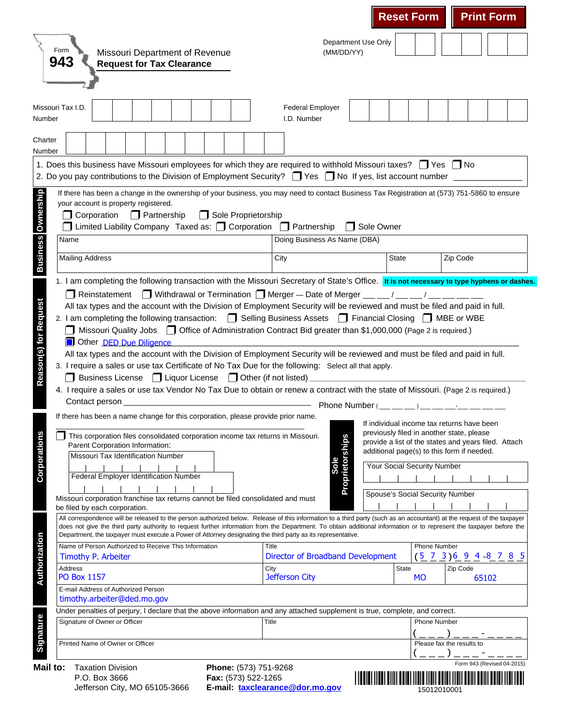|                                                                                                                                                                                                                                                                                                                                                                                                                                                                                                                |                                                             | <b>Reset Form</b>               | <b>Print Form</b>                                                                                                                                                                             |
|----------------------------------------------------------------------------------------------------------------------------------------------------------------------------------------------------------------------------------------------------------------------------------------------------------------------------------------------------------------------------------------------------------------------------------------------------------------------------------------------------------------|-------------------------------------------------------------|---------------------------------|-----------------------------------------------------------------------------------------------------------------------------------------------------------------------------------------------|
| Form<br>Missouri Department of Revenue<br>943<br><b>Request for Tax Clearance</b>                                                                                                                                                                                                                                                                                                                                                                                                                              | (MM/DD/YY)                                                  | Department Use Only             |                                                                                                                                                                                               |
|                                                                                                                                                                                                                                                                                                                                                                                                                                                                                                                |                                                             |                                 |                                                                                                                                                                                               |
| Missouri Tax I.D.<br>Number                                                                                                                                                                                                                                                                                                                                                                                                                                                                                    | <b>Federal Employer</b><br>I.D. Number                      |                                 |                                                                                                                                                                                               |
| Charter<br>Number                                                                                                                                                                                                                                                                                                                                                                                                                                                                                              |                                                             |                                 |                                                                                                                                                                                               |
| 1. Does this business have Missouri employees for which they are required to withhold Missouri taxes? T Yes T No<br>2. Do you pay contributions to the Division of Employment Security? $\Box$ Yes $\Box$ No If yes, list account number $\Box$                                                                                                                                                                                                                                                                |                                                             |                                 |                                                                                                                                                                                               |
| If there has been a change in the ownership of your business, you may need to contact Business Tax Registration at (573) 751-5860 to ensure<br>your account is property registered.<br>Sole Proprietorship<br><b>O</b> Corporation<br>$\Box$ Partnership                                                                                                                                                                                                                                                       |                                                             |                                 |                                                                                                                                                                                               |
| $\Box$ Limited Liability Company Taxed as: $\Box$ Corporation $\Box$ Partnership<br>Name                                                                                                                                                                                                                                                                                                                                                                                                                       | Doing Business As Name (DBA)                                | Sole Owner<br>$\mathbf{I}$      |                                                                                                                                                                                               |
| <b>Mailing Address</b>                                                                                                                                                                                                                                                                                                                                                                                                                                                                                         | City                                                        | <b>State</b>                    | Zip Code                                                                                                                                                                                      |
|                                                                                                                                                                                                                                                                                                                                                                                                                                                                                                                |                                                             |                                 |                                                                                                                                                                                               |
| 2. I am completing the following transaction: <b>S</b> Selling Business Assets <b>S</b> Financial Closing <b>S</b> MBE or WBE<br>Missouri Quality Jobs   Office of Administration Contract Bid greater than \$1,000,000 (Page 2 is required.)<br>Other DED Due Diligence<br>All tax types and the account with the Division of Employment Security will be reviewed and must be filed and paid in full.<br>3. I require a sales or use tax Certificate of No Tax Due for the following: Select all that apply. |                                                             |                                 |                                                                                                                                                                                               |
| □ Business License □ Liquor License □ Other (if not listed)<br>4. I require a sales or use tax Vendor No Tax Due to obtain or renew a contract with the state of Missouri. (Page 2 is required.)<br>Contact person _                                                                                                                                                                                                                                                                                           |                                                             |                                 | Phone Number $(\_\_\_\_\_)\_\_$                                                                                                                                                               |
| If there has been a name change for this corporation, please provide prior name.<br>This corporation files consolidated corporation income tax returns in Missouri.<br>Parent Corporation Information:                                                                                                                                                                                                                                                                                                         |                                                             |                                 | If individual income tax returns have been<br>previously filed in another state, please<br>provide a list of the states and years filed. Attach<br>additional page(s) to this form if needed. |
| Missouri Tax Identification Number<br>Federal Employer Identification Number                                                                                                                                                                                                                                                                                                                                                                                                                                   | Sole                                                        | Your Social Security Number     |                                                                                                                                                                                               |
| Missouri corporation franchise tax returns cannot be filed consolidated and must<br>be filed by each corporation.                                                                                                                                                                                                                                                                                                                                                                                              | Proprietorships                                             | Spouse's Social Security Number |                                                                                                                                                                                               |
| All correspondence will be released to the person authorized below. Release of this information to a third party (such as an accountant) at the request of the taxpayer<br>does not give the third party authority to request further information from the Department. To obtain additional information or to represent the taxpayer before the<br>Department, the taxpayer must execute a Power of Attorney designating the third party as its representative.                                                |                                                             |                                 |                                                                                                                                                                                               |
| Name of Person Authorized to Receive This Information                                                                                                                                                                                                                                                                                                                                                                                                                                                          | Title                                                       |                                 | <b>Phone Number</b>                                                                                                                                                                           |
| Timothy P. Arbeiter<br>Address<br><b>PO Box 1157</b>                                                                                                                                                                                                                                                                                                                                                                                                                                                           | Director of Broadband Development<br>City<br>Jefferson City | State<br>MO                     | $(\frac{5}{2}, \frac{7}{2}, \frac{3}{2})$ 6 9 4 -8 7 8 5<br>Zip Code<br>65102                                                                                                                 |
| E-mail Address of Authorized Person                                                                                                                                                                                                                                                                                                                                                                                                                                                                            |                                                             |                                 |                                                                                                                                                                                               |
| timothy.arbeiter@ded.mo.gov                                                                                                                                                                                                                                                                                                                                                                                                                                                                                    |                                                             |                                 |                                                                                                                                                                                               |
| Under penalties of perjury, I declare that the above information and any attached supplement is true, complete, and correct.<br>Signature of Owner or Officer                                                                                                                                                                                                                                                                                                                                                  | Title                                                       |                                 | <b>Phone Number</b>                                                                                                                                                                           |
| Printed Name of Owner or Officer                                                                                                                                                                                                                                                                                                                                                                                                                                                                               |                                                             |                                 | Please fax the results to<br>___)___- <u>__</u>                                                                                                                                               |